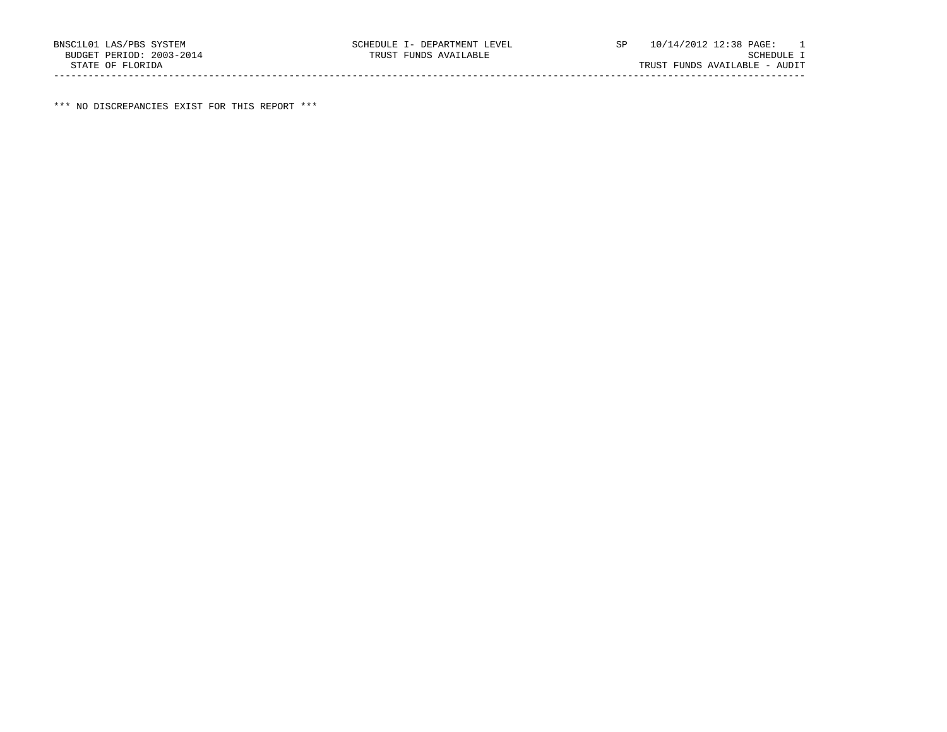\*\*\* NO DISCREPANCIES EXIST FOR THIS REPORT \*\*\*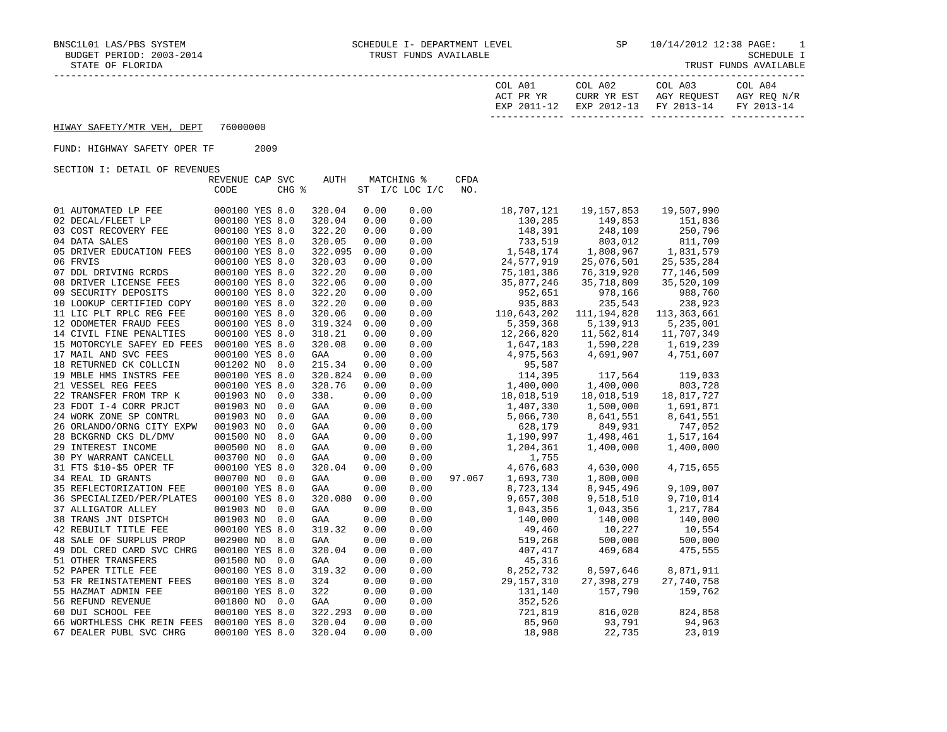| COL A01<br>ACT PR YR | COL A02<br>CURR YR EST | COL A03<br>AGY REOUEST            | COL A04<br>AGY REO N/R |
|----------------------|------------------------|-----------------------------------|------------------------|
| EXP 2011-12          |                        | EXP 2012-13 FY 2013-14 FY 2013-14 |                        |
|                      |                        |                                   |                        |

## HIWAY SAFETY/MTR VEH, DEPT 76000000

## FUND: HIGHWAY SAFETY OPER TF 2009

SECTION I: DETAIL OF REVENUES

| bocilon is boining of how brond | REVENUE CAP SVC |                |       | AUTH    |      | MATCHING %     | <b>CFDA</b> |              |              |               |
|---------------------------------|-----------------|----------------|-------|---------|------|----------------|-------------|--------------|--------------|---------------|
|                                 | CODE            |                | CHG % |         |      | ST I/C LOC I/C | NO.         |              |              |               |
|                                 |                 |                |       |         |      |                |             |              |              |               |
| 01 AUTOMATED LP FEE             | 000100 YES 8.0  |                |       | 320.04  | 0.00 | 0.00           |             | 18,707,121   | 19, 157, 853 | 19,507,990    |
| 02 DECAL/FLEET LP               | 000100 YES 8.0  |                |       | 320.04  | 0.00 | 0.00           |             | 130,285      | 149,853      | 151,836       |
| 03 COST RECOVERY FEE            | 000100 YES 8.0  |                |       | 322.20  | 0.00 | 0.00           |             | 148,391      | 248,109      | 250,796       |
| 04 DATA SALES                   | 000100 YES 8.0  |                |       | 320.05  | 0.00 | 0.00           |             | 733,519      | 803,012      | 811,709       |
| 05 DRIVER EDUCATION FEES        | 000100 YES 8.0  |                |       | 322.095 | 0.00 | 0.00           |             | 1,548,174    | 1,808,967    | 1,831,579     |
| 06 FRVIS                        | 000100 YES 8.0  |                |       | 320.03  | 0.00 | 0.00           |             | 24,577,919   | 25,076,501   | 25, 535, 284  |
| 07 DDL DRIVING RCRDS            |                 | 000100 YES 8.0 |       | 322.20  | 0.00 | 0.00           |             | 75,101,386   | 76, 319, 920 | 77,146,509    |
| 08 DRIVER LICENSE FEES          | 000100 YES 8.0  |                |       | 322.06  |      | 0.00           |             | 35,877,246   | 35,718,809   | 35,520,109    |
|                                 |                 |                |       |         | 0.00 |                |             |              |              |               |
| 09 SECURITY DEPOSITS            |                 | 000100 YES 8.0 |       | 322.20  | 0.00 | 0.00           |             | 952,651      | 978,166      | 988,760       |
| 10 LOOKUP CERTIFIED COPY        | 000100 YES 8.0  |                |       | 322.20  | 0.00 | 0.00           |             | 935,883      | 235,543      | 238,923       |
| 11 LIC PLT RPLC REG FEE         |                 | 000100 YES 8.0 |       | 320.06  | 0.00 | 0.00           |             | 110,643,202  | 111,194,828  | 113, 363, 661 |
| 12 ODOMETER FRAUD FEES          | 000100 YES 8.0  |                |       | 319.324 | 0.00 | 0.00           |             | 5,359,368    | 5, 139, 913  | 5,235,001     |
| 14 CIVIL FINE PENALTIES         |                 | 000100 YES 8.0 |       | 318.21  | 0.00 | 0.00           |             | 12,266,820   | 11,562,814   | 11,707,349    |
| 15 MOTORCYLE SAFEY ED FEES      | 000100 YES 8.0  |                |       | 320.08  | 0.00 | 0.00           |             | 1,647,183    | 1,590,228    | 1,619,239     |
| 17 MAIL AND SVC FEES            |                 | 000100 YES 8.0 |       | GAA     | 0.00 | 0.00           |             | 4,975,563    | 4,691,907    | 4,751,607     |
| 18 RETURNED CK COLLCIN          | 001202 NO 8.0   |                |       | 215.34  | 0.00 | 0.00           |             | 95,587       |              |               |
| 19 MBLE HMS INSTRS FEE          |                 | 000100 YES 8.0 |       | 320.824 | 0.00 | 0.00           |             | 114,395      | 117,564      | 119,033       |
| 21 VESSEL REG FEES              | 000100 YES 8.0  |                |       | 328.76  | 0.00 | 0.00           |             | 1,400,000    | 1,400,000    | 803,728       |
| 22 TRANSFER FROM TRP K          | 001903 NO 0.0   |                |       | 338.    | 0.00 | 0.00           |             | 18,018,519   | 18,018,519   | 18,817,727    |
| 23 FDOT I-4 CORR PRJCT          | 001903 NO 0.0   |                |       | GAA     | 0.00 | 0.00           |             | 1,407,330    | 1,500,000    | 1,691,871     |
| 24 WORK ZONE SP CONTRL          |                 | 001903 NO 0.0  |       | GAA     | 0.00 | 0.00           |             | 5,066,730    | 8,641,551    | 8,641,551     |
| 26 ORLANDO/ORNG CITY EXPW       |                 | 001903 NO 0.0  |       | GAA     | 0.00 | 0.00           |             | 628,179      | 849,931      | 747,052       |
| 28 BCKGRND CKS DL/DMV           |                 | 001500 NO 8.0  |       | GAA     | 0.00 | 0.00           |             | 1,190,997    | 1,498,461    | 1,517,164     |
| 29 INTEREST INCOME              | 000500 NO       | 8.0            |       | GAA     | 0.00 | 0.00           |             | 1,204,361    | 1,400,000    | 1,400,000     |
| 30 PY WARRANT CANCELL           |                 | 003700 NO 0.0  |       | GAA     | 0.00 | 0.00           |             | 1,755        |              |               |
| 31 FTS \$10-\$5 OPER TF         | 000100 YES 8.0  |                |       | 320.04  | 0.00 | 0.00           |             | 4,676,683    | 4,630,000    | 4,715,655     |
| 34 REAL ID GRANTS               |                 | 000700 NO 0.0  |       | GAA     | 0.00 | 0.00           | 97.067      | 1,693,730    | 1,800,000    |               |
| 35 REFLECTORIZATION FEE         | 000100 YES 8.0  |                |       | GAA     | 0.00 | 0.00           |             | 8,723,134    | 8,945,496    | 9,109,007     |
| 36 SPECIALIZED/PER/PLATES       |                 | 000100 YES 8.0 |       | 320.080 | 0.00 | 0.00           |             | 9,657,308    | 9,518,510    | 9,710,014     |
| 37 ALLIGATOR ALLEY              | 001903 NO 0.0   |                |       | GAA     | 0.00 | 0.00           |             | 1,043,356    | 1,043,356    | 1,217,784     |
| 38 TRANS JNT DISPTCH            |                 | 001903 NO 0.0  |       | GAA     | 0.00 | 0.00           |             | 140,000      | 140,000      | 140,000       |
| 42 REBUILT TITLE FEE            |                 | 000100 YES 8.0 |       | 319.32  | 0.00 | 0.00           |             | 49,460       | 10,227       | 10,554        |
| 48 SALE OF SURPLUS PROP         |                 | 002900 NO 8.0  |       | GAA     | 0.00 | 0.00           |             | 519,268      | 500,000      | 500,000       |
| 49 DDL CRED CARD SVC CHRG       | 000100 YES 8.0  |                |       | 320.04  | 0.00 | 0.00           |             | 407,417      | 469,684      | 475,555       |
| 51 OTHER TRANSFERS              | 001500 NO 0.0   |                |       | GAA     | 0.00 | 0.00           |             | 45,316       |              |               |
| 52 PAPER TITLE FEE              | 000100 YES 8.0  |                |       | 319.32  | 0.00 | 0.00           |             | 8,252,732    | 8,597,646    | 8,871,911     |
| 53 FR REINSTATEMENT FEES        |                 | 000100 YES 8.0 |       | 324     | 0.00 | 0.00           |             | 29, 157, 310 | 27,398,279   | 27,740,758    |
| 55 HAZMAT ADMIN FEE             |                 | 000100 YES 8.0 |       | 322     | 0.00 | 0.00           |             | 131,140      | 157,790      | 159,762       |
| 56 REFUND REVENUE               | 001800 NO 0.0   |                |       | GAA     | 0.00 | 0.00           |             | 352,526      |              |               |
| 60 DUI SCHOOL FEE               |                 | 000100 YES 8.0 |       | 322.293 | 0.00 | 0.00           |             | 721,819      | 816,020      | 824,858       |
| 66 WORTHLESS CHK REIN FEES      |                 | 000100 YES 8.0 |       | 320.04  | 0.00 | 0.00           |             | 85,960       | 93,791       | 94,963        |
|                                 |                 | 000100 YES 8.0 |       | 320.04  | 0.00 | 0.00           |             |              | 22,735       | 23,019        |
| 67 DEALER PUBL SVC CHRG         |                 |                |       |         |      |                |             | 18,988       |              |               |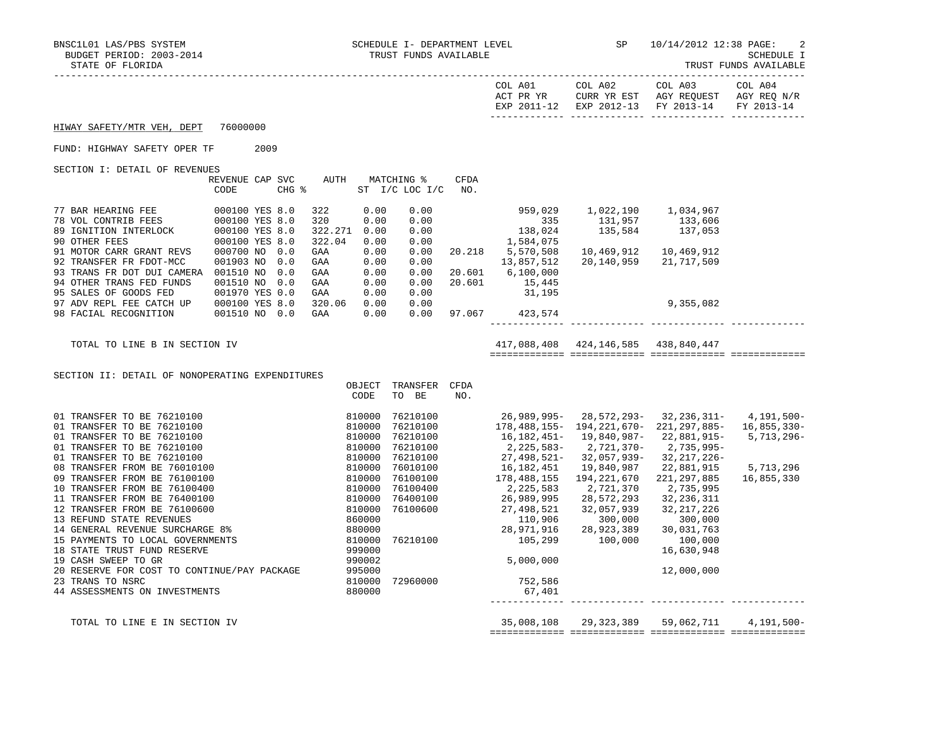|                                                                                                                                                      |                                                                   |                                                                  |                                  |             |                                                                                                                     |                                                           | COL A03<br>EXP 2011-12 EXP 2012-13 FY 2013-14        | FY 2013-14                                 |
|------------------------------------------------------------------------------------------------------------------------------------------------------|-------------------------------------------------------------------|------------------------------------------------------------------|----------------------------------|-------------|---------------------------------------------------------------------------------------------------------------------|-----------------------------------------------------------|------------------------------------------------------|--------------------------------------------|
| HIWAY SAFETY/MTR VEH, DEPT                                                                                                                           | 76000000                                                          |                                                                  |                                  |             |                                                                                                                     |                                                           |                                                      |                                            |
| FUND: HIGHWAY SAFETY OPER TF                                                                                                                         | 2009                                                              |                                                                  |                                  |             |                                                                                                                     |                                                           |                                                      |                                            |
| SECTION I: DETAIL OF REVENUES                                                                                                                        | REVENUE CAP SVC<br>CHG %<br>CODE                                  | AUTH MATCHING %                                                  | ST I/C LOC I/C                   | CFDA<br>NO. |                                                                                                                     |                                                           |                                                      |                                            |
|                                                                                                                                                      | 000100 YES 8.0                                                    | 322<br>0.00<br>320<br>0.00<br>322.271 0.00<br>322.04<br>0.00     | 0.00<br>0.00<br>0.00<br>0.00     |             | $959,029$<br>335<br>$138,024$<br>$1,584,075$                                                                        | 1,022,190 1,034,967<br>131,957 133,606<br>135,584 137,053 |                                                      |                                            |
| 91 MOTOR CARR GRANT REVS<br>92 TRANSFER FR FDOT-MCC<br>93 TRANS FR DOT DUI CAMERA 001510 NO 0.0<br>94 OTHER TRANS FED FUNDS<br>95 SALES OF GOODS FED | 000700 NO 0.0<br>001903 NO 0.0<br>001510 NO 0.0<br>001970 YES 0.0 | 0.00<br>GAA<br>0.00<br>GAA<br>0.00<br>GAA<br>0.00<br>GAA<br>0.00 | 0.00<br>0.00<br>0.00<br>0.00     |             | 20.218 5,570,508<br>13,857,512<br>20.601 6,100,000<br>$20.601$ $15,445$                                             | 10,469,912   10,469,912                                   | 20, 140, 959 21, 717, 509                            |                                            |
| 97 ADV REPL FEE CATCH UP 000100 YES 8.0<br>98 FACIAL RECOGNITION                                                                                     | 001510 NO 0.0                                                     | GAA<br>320.06<br>0.00<br>GAA<br>0.00                             | 0.00<br>0.00<br>0.00             |             | 31,195<br>97.067 423,574                                                                                            |                                                           | 9,355,082                                            |                                            |
| TOTAL TO LINE B IN SECTION IV                                                                                                                        |                                                                   |                                                                  |                                  |             |                                                                                                                     | 417,088,408 424,146,585 438,840,447                       |                                                      |                                            |
| SECTION II: DETAIL OF NONOPERATING EXPENDITURES                                                                                                      |                                                                   |                                                                  |                                  |             |                                                                                                                     |                                                           |                                                      |                                            |
|                                                                                                                                                      |                                                                   | CODE                                                             | OBJECT TRANSFER CFDA<br>TO BE    | NO.         |                                                                                                                     |                                                           |                                                      |                                            |
|                                                                                                                                                      |                                                                   |                                                                  | 76210100<br>76210100<br>76210100 |             | 26,989,995-28,572,293-32,236,311-<br>178,488,155- 194,221,670- 221,297,885-                                         |                                                           | 22,881,915-                                          | 4,191,500-<br>16,855,330-<br>$5,713,296 -$ |
|                                                                                                                                                      |                                                                   |                                                                  | 76210100<br>76210100<br>76010100 |             | 16,182,451-19,840,987-<br>2,225,583-2,721,370-<br>27,498,521-  32,057,939-<br>16,182,451  19,840,987                |                                                           | 2,735,995-<br>32, 217, 226-<br>19,840,987 22,881,915 | 5,713,296                                  |
|                                                                                                                                                      |                                                                   |                                                                  | 76100100<br>76100400             |             | 178,488,155<br>2,225,583                                                                                            | 194,221,670<br>2,721,370<br>28,572,293                    | 221, 297, 885<br>2,735,995<br>32,236,311             | 16,855,330                                 |
|                                                                                                                                                      |                                                                   |                                                                  |                                  |             | 76400100 26,989,995<br>76100600 27,498,521<br>$110,906$ $28,971,916$ $28,923,389$ $76210100$ $28,923,389$ $100,000$ | 32,057,939                                                | 32, 217, 226<br>300,000<br>30,031,763                |                                            |
| 19 CASH SWEEP TO GR                                                                                                                                  |                                                                   |                                                                  |                                  |             | 5,000,000                                                                                                           |                                                           | 100,000<br>16,630,948                                |                                            |
| 20 RESERVE FOR COST TO CONTINUE/PAY PACKAGE<br>23 TRANS TO NSRC                                                                                      |                                                                   | 990002<br>995000<br>219999                                       | 810000 72960000                  |             | 752,586                                                                                                             |                                                           | 12,000,000                                           |                                            |

44 ASSESSMENTS ON INVESTMENTS 880000 67,401

 TOTAL TO LINE E IN SECTION IV 35,008,108 29,323,389 59,062,711 4,191,500- ============= ============= ============= =============

------------- ------------- ------------- -------------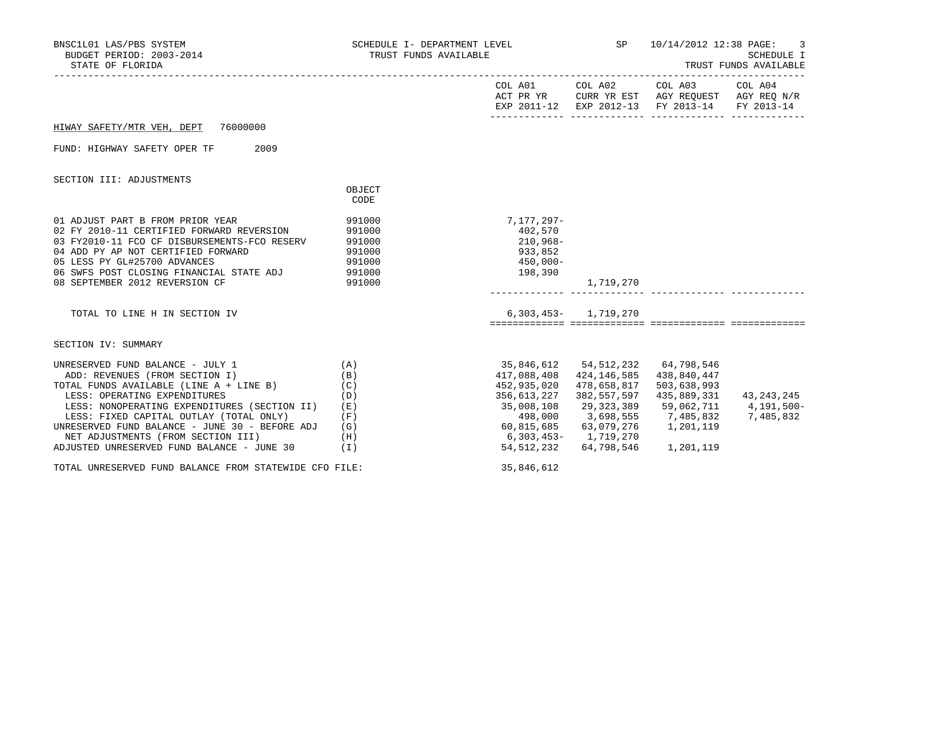| BNSC1L01 LAS/PBS SYSTEM<br>BUDGET PERIOD: 2003-2014<br>STATE OF FLORIDA                                                                                                                                                                                                                                                                                                            | TRUST FUNDS AVAILABLE                                    |                                                                                                                                |                                                                                                                                       | SCHEDULE I- DEPARTMENT LEVEL $SP$ 10/14/2012 12:38 PAGE:<br>-3<br>SCHEDULE I<br>TRUST FUNDS AVAILABLE                             |                                       |  |
|------------------------------------------------------------------------------------------------------------------------------------------------------------------------------------------------------------------------------------------------------------------------------------------------------------------------------------------------------------------------------------|----------------------------------------------------------|--------------------------------------------------------------------------------------------------------------------------------|---------------------------------------------------------------------------------------------------------------------------------------|-----------------------------------------------------------------------------------------------------------------------------------|---------------------------------------|--|
|                                                                                                                                                                                                                                                                                                                                                                                    |                                                          |                                                                                                                                |                                                                                                                                       | COL A01 COL A02 COL A03 COL A04<br>ACT PR YR CURR YR EST AGY REQUEST AGY REQ N/R<br>EXP 2011-12 EXP 2012-13 FY 2013-14 FY 2013-14 |                                       |  |
| HIWAY SAFETY/MTR VEH, DEPT 76000000                                                                                                                                                                                                                                                                                                                                                |                                                          |                                                                                                                                |                                                                                                                                       |                                                                                                                                   |                                       |  |
| FUND: HIGHWAY SAFETY OPER TF<br>2009                                                                                                                                                                                                                                                                                                                                               |                                                          |                                                                                                                                |                                                                                                                                       |                                                                                                                                   |                                       |  |
| SECTION III: ADJUSTMENTS                                                                                                                                                                                                                                                                                                                                                           | OBJECT<br>CODE                                           |                                                                                                                                |                                                                                                                                       |                                                                                                                                   |                                       |  |
| 01 ADJUST PART B FROM PRIOR YEAR<br>02 FY 2010-11 CERTIFIED FORWARD REVERSION<br>03 FY2010-11 FCO CF DISBURSEMENTS-FCO RESERV<br>04 ADD PY AP NOT CERTIFIED FORWARD<br>05 LESS PY GL#25700 ADVANCES<br>06 SWFS POST CLOSING FINANCIAL STATE ADJ 991000<br>08 SEPTEMBER 2012 REVERSION CF                                                                                           | 991000<br>991000<br>991000<br>991000<br>991000<br>991000 | 7,177,297-<br>402,570<br>$210,968-$<br>933,852<br>450,000-<br>198,390                                                          | 1,719,270                                                                                                                             |                                                                                                                                   |                                       |  |
| TOTAL TO LINE H IN SECTION IV                                                                                                                                                                                                                                                                                                                                                      |                                                          |                                                                                                                                | $6,303,453 - 1,719,270$                                                                                                               |                                                                                                                                   |                                       |  |
| SECTION IV: SUMMARY                                                                                                                                                                                                                                                                                                                                                                |                                                          |                                                                                                                                |                                                                                                                                       |                                                                                                                                   |                                       |  |
| UNRESERVED FUND BALANCE - JULY 1<br>ADD: REVENUES (FROM SECTION I)<br>TOTAL FUNDS AVAILABLE (LINE A + LINE B)<br>LESS: OPERATING EXPENDITURES<br>LESS: NONOPERATING EXPENDITURES (SECTION II)<br>LESS: FIXED CAPITAL OUTLAY (TOTAL ONLY)<br>UNRESERVED FUND BALANCE - JUNE 30 - BEFORE ADJ<br>NET ADJUSTMENTS (FROM SECTION III)<br>ADJUSTED UNRESERVED FUND BALANCE - JUNE 30 (I) | (A)<br>(B)<br>(C)<br>(D)<br>(E)<br>(F)<br>(G)<br>(H)     | 417,088,408<br>452,935,020<br>356,613,227<br>35,008,108<br>498,000<br>$60, 815, 685$ $63, 079, 276$<br>$6,303,453 - 1,719,270$ | 35,846,612 54,512,232 64,798,546<br>424,146,585<br>478,658,817<br>382,557,597<br>29,323,389<br>3,698,555<br>54, 512, 232 64, 798, 546 | 438,840,447<br>503,638,993<br>435,889,331<br>59,062,711<br>7,485,832<br>1,201,119<br>1,201,119                                    | 43,243,245<br>4,191,500-<br>7,485,832 |  |
| TOTAL UNRESERVED FUND BALANCE FROM STATEWIDE CFO FILE:                                                                                                                                                                                                                                                                                                                             |                                                          | 35,846,612                                                                                                                     |                                                                                                                                       |                                                                                                                                   |                                       |  |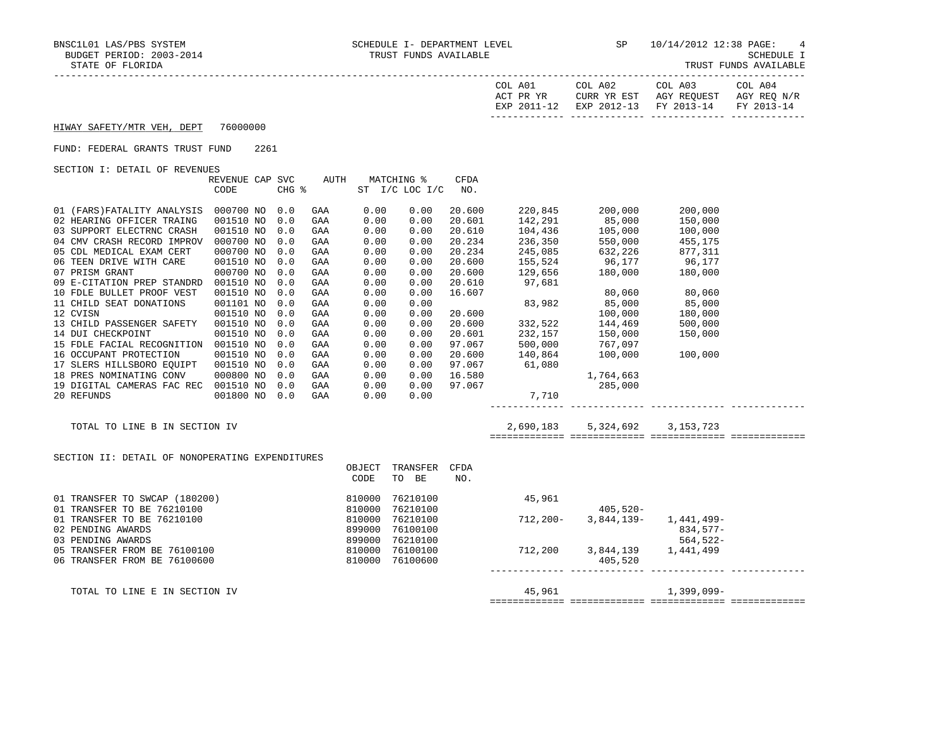| A01<br>COL<br>ACT PR YR<br>201<br>FYD | COL A02<br>CURR YR EST<br>$2012 - 12$<br>FYL | COL A03<br>AGY<br>REOUEST<br>$2013 - 14$<br><b>FV</b> | A04<br>∩П.<br>AGY REQ N/R<br>$2013 - 14$<br><b>FV</b> |
|---------------------------------------|----------------------------------------------|-------------------------------------------------------|-------------------------------------------------------|
|                                       |                                              |                                                       |                                                       |

## HIWAY SAFETY/MTR VEH, DEPT 76000000

## FUND: FEDERAL GRANTS TRUST FUND 2261

SECTION I: DETAIL OF REVENUES

|                             | REVENUE CAP | <b>SVC</b> | AUTH |      | MATCHING %      | CFDA   |         |           |         |  |
|-----------------------------|-------------|------------|------|------|-----------------|--------|---------|-----------|---------|--|
|                             | CODE        | CHG %      |      | ST   | $I/C$ LOC $I/C$ | NO.    |         |           |         |  |
| 01 (FARS) FATALITY ANALYSIS | 000700 NO   | 0.0        | GAA  | 0.00 | 0.00            | 20.600 | 220,845 | 200,000   | 200,000 |  |
| 02 HEARING OFFICER TRAING   | 001510 NO   | 0.0        | GAA  | 0.00 | 0.00            | 20.601 | 142,291 | 85,000    | 150,000 |  |
| 03 SUPPORT ELECTRNC CRASH   | 001510 NO   | 0.0        | GAA  | 0.00 | 0.00            | 20.610 | 104,436 | 105,000   | 100,000 |  |
| 04 CMV CRASH RECORD IMPROV  | 000700 NO   | 0.0        | GAA  | 0.00 | 0.00            | 20.234 | 236,350 | 550,000   | 455,175 |  |
| 05 CDL MEDICAL EXAM CERT    | 000700 NO   | 0.0        | GAA  | 0.00 | 0.00            | 20.234 | 245,085 | 632,226   | 877,311 |  |
| 06 TEEN DRIVE WITH CARE     | 001510 NO   | 0.0        | GAA  | 0.00 | 0.00            | 20.600 | 155,524 | 96,177    | 96,177  |  |
| 07 PRISM GRANT              | 000700 NO   | 0.0        | GAA  | 0.00 | 0.00            | 20.600 | 129,656 | 180,000   | 180,000 |  |
| 09 E-CITATION PREP STANDRD  | 001510 NO   | 0.0        | GAA  | 0.00 | 0.00            | 20.610 | 97,681  |           |         |  |
| 10 FDLE BULLET PROOF VEST   | 001510 NO   | 0.0        | GAA  | 0.00 | 0.00            | 16.607 |         | 80,060    | 80,060  |  |
| 11 CHILD SEAT DONATIONS     | 001101 NO   | 0.0        | GAA  | 0.00 | 0.00            |        | 83,982  | 85,000    | 85,000  |  |
| 12 CVISN                    | 001510 NO   | 0.0        | GAA  | 0.00 | 0.00            | 20.600 |         | 100,000   | 180,000 |  |
| 13 CHILD PASSENGER SAFETY   | 001510 NO   | 0.0        | GAA  | 0.00 | 0.00            | 20.600 | 332,522 | 144,469   | 500,000 |  |
| 14 DUI CHECKPOINT           | 001510 NO   | 0.0        | GAA  | 0.00 | 0.00            | 20.601 | 232,157 | 150,000   | 150,000 |  |
| 15 FDLE FACIAL RECOGNITION  | 001510 NO   | 0.0        | GAA  | 0.00 | 0.00            | 97.067 | 500,000 | 767,097   |         |  |
| 16 OCCUPANT PROTECTION      | 001510 NO   | 0.0        | GAA  | 0.00 | 0.00            | 20.600 | 140,864 | 100,000   | 100,000 |  |
| 17 SLERS HILLSBORO EOUIPT   | 001510 NO   | 0.0        | GAA  | 0.00 | 0.00            | 97.067 | 61,080  |           |         |  |
| 18 PRES NOMINATING CONV     | 000800 NO   | 0.0        | GAA  | 0.00 | 0.00            | 16.580 |         | 1,764,663 |         |  |
| 19 DIGITAL CAMERAS FAC REC  | 001510 NO   | 0.0        | GAA  | 0.00 | 0.00            | 97.067 |         | 285,000   |         |  |
| 20 REFUNDS                  | 001800 NO   | 0.0        | GAA  | 0.00 | 0.00            |        | 7,710   |           |         |  |
|                             |             |            |      |      |                 |        |         |           |         |  |

SECTION II: DETAIL OF NONOPERATING EXPENDITURES

TOTAL TO LINE B IN SECTION IV 2,690,183 5,324,692 3,153,723

============= ============= ============= =============

|                               | OBJECT | TRANSFER | CFDA |          |             |              |  |
|-------------------------------|--------|----------|------|----------|-------------|--------------|--|
|                               | CODE   | TO<br>BE | NO.  |          |             |              |  |
| 01 TRANSFER TO SWCAP (180200) | 810000 | 76210100 |      | 45,961   |             |              |  |
| 01 TRANSFER TO BE 76210100    | 810000 | 76210100 |      |          | $405,520 -$ |              |  |
| 01 TRANSFER TO BE 76210100    | 810000 | 76210100 |      | 712,200- | 3,844,139-  | 1,441,499–   |  |
| 02 PENDING AWARDS             | 899000 | 76100100 |      |          |             | 834,577-     |  |
| 03 PENDING AWARDS             | 899000 | 76210100 |      |          |             | 564,522-     |  |
| 05 TRANSFER FROM BE 76100100  | 810000 | 76100100 |      | 712,200  | 3,844,139   | 1,441,499    |  |
| 06 TRANSFER FROM BE 76100600  | 810000 | 76100600 |      |          | 405,520     |              |  |
|                               |        |          |      |          |             |              |  |
| TOTAL TO LINE E IN SECTION IV |        |          |      | 45,961   |             | $1,399,099-$ |  |

============= ============= ============= =============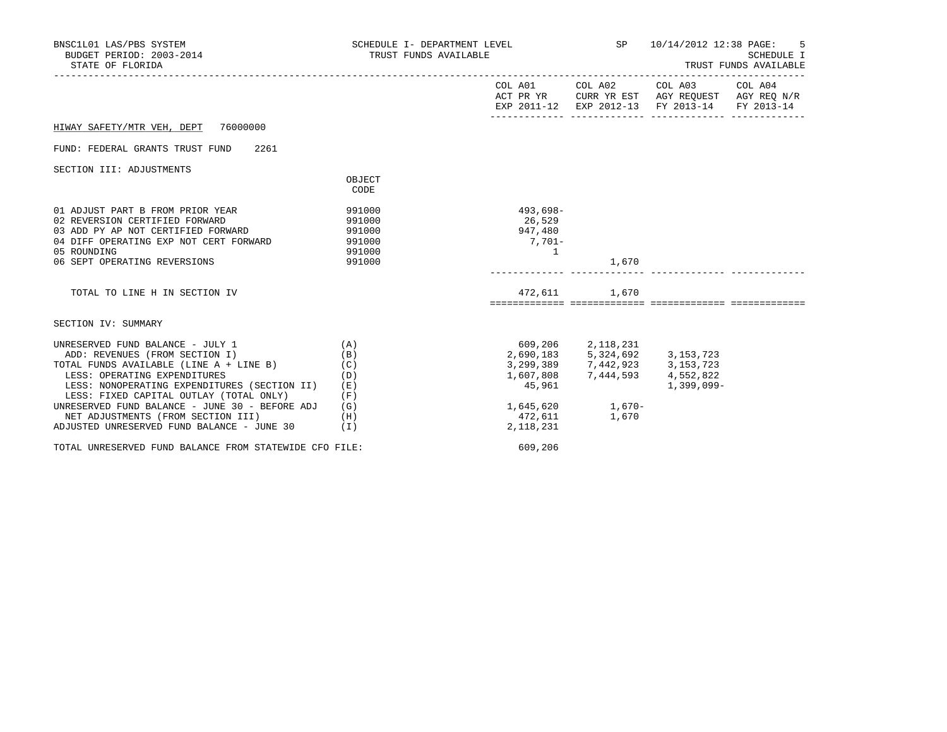| BNSC1L01 LAS/PBS SYSTEM<br>BUDGET PERIOD: 2003-2014<br>STATE OF FLORIDA                                                                                                                                                                                                                                                                                                           | SCHEDULE I- DEPARTMENT LEVEL<br>TRUST FUNDS AVAILABLE       |                                                                                                                                              |                                                | SP 10/14/2012 12:38 PAGE: 5<br><b>SCHEDULE I</b><br>TRUST FUNDS AVAILABLE                                                         |  |  |
|-----------------------------------------------------------------------------------------------------------------------------------------------------------------------------------------------------------------------------------------------------------------------------------------------------------------------------------------------------------------------------------|-------------------------------------------------------------|----------------------------------------------------------------------------------------------------------------------------------------------|------------------------------------------------|-----------------------------------------------------------------------------------------------------------------------------------|--|--|
|                                                                                                                                                                                                                                                                                                                                                                                   |                                                             |                                                                                                                                              |                                                | COL A01 COL A02 COL A03 COL A04<br>ACT PR YR CURR YR EST AGY REQUEST AGY REQ N/R<br>EXP 2011-12 EXP 2012-13 FY 2013-14 FY 2013-14 |  |  |
| HIWAY SAFETY/MTR VEH, DEPT 76000000                                                                                                                                                                                                                                                                                                                                               |                                                             |                                                                                                                                              |                                                |                                                                                                                                   |  |  |
| FUND: FEDERAL GRANTS TRUST FUND 2261                                                                                                                                                                                                                                                                                                                                              |                                                             |                                                                                                                                              |                                                |                                                                                                                                   |  |  |
| SECTION III: ADJUSTMENTS                                                                                                                                                                                                                                                                                                                                                          | OBJECT<br>CODE                                              |                                                                                                                                              |                                                |                                                                                                                                   |  |  |
| 01 ADJUST PART B FROM PRIOR YEAR<br>02 REVERSION CERTIFIED FORWARD<br>03 ADD PY AP NOT CERTIFIED FORWARD 991000<br>04 DIFF OPERATING EXP NOT CERT FORWARD 991000<br>05 ROUNDING<br>06 SEPT OPERATING REVERSIONS                                                                                                                                                                   | 991000<br>991000<br>991000<br>991000                        | 493,698-<br>26,529<br>947,480<br>$7,701-$<br>$\sim$ 1                                                                                        | 1,670                                          |                                                                                                                                   |  |  |
| TOTAL TO LINE H IN SECTION IV                                                                                                                                                                                                                                                                                                                                                     |                                                             |                                                                                                                                              | 472,611 1,670                                  |                                                                                                                                   |  |  |
| SECTION IV: SUMMARY                                                                                                                                                                                                                                                                                                                                                               |                                                             |                                                                                                                                              |                                                |                                                                                                                                   |  |  |
| UNRESERVED FUND BALANCE - JULY 1<br>ADD: REVENUES (FROM SECTION I)<br>TOTAL FUNDS AVAILABLE (LINE $A + LINE B$ )<br>LESS: OPERATING EXPENDITURES<br>LESS: NONOPERATING EXPENDITURES (SECTION II)<br>LESS: FIXED CAPITAL OUTLAY (TOTAL ONLY)<br>UNRESERVED FUND BALANCE - JUNE 30 - BEFORE ADJ<br>NET ADJUSTMENTS (FROM SECTION III)<br>ADJUSTED UNRESERVED FUND BALANCE - JUNE 30 | (A)<br>(B)<br>(C)<br>(D)<br>(E)<br>(F)<br>(G)<br>(H)<br>(I) | 2,690,183 5,324,692 3,153,723<br>3,299,389 7,442,923 3,153,723<br>1,607,808 7,444,593 4,552,822<br>45,961 1,399,099-<br>472,611<br>2,118,231 | 609,206 2,118,231<br>1,645,620 1,670-<br>1,670 | 1,399,099-                                                                                                                        |  |  |
| TOTAL UNRESERVED FUND BALANCE FROM STATEWIDE CFO FILE:                                                                                                                                                                                                                                                                                                                            |                                                             | 609,206                                                                                                                                      |                                                |                                                                                                                                   |  |  |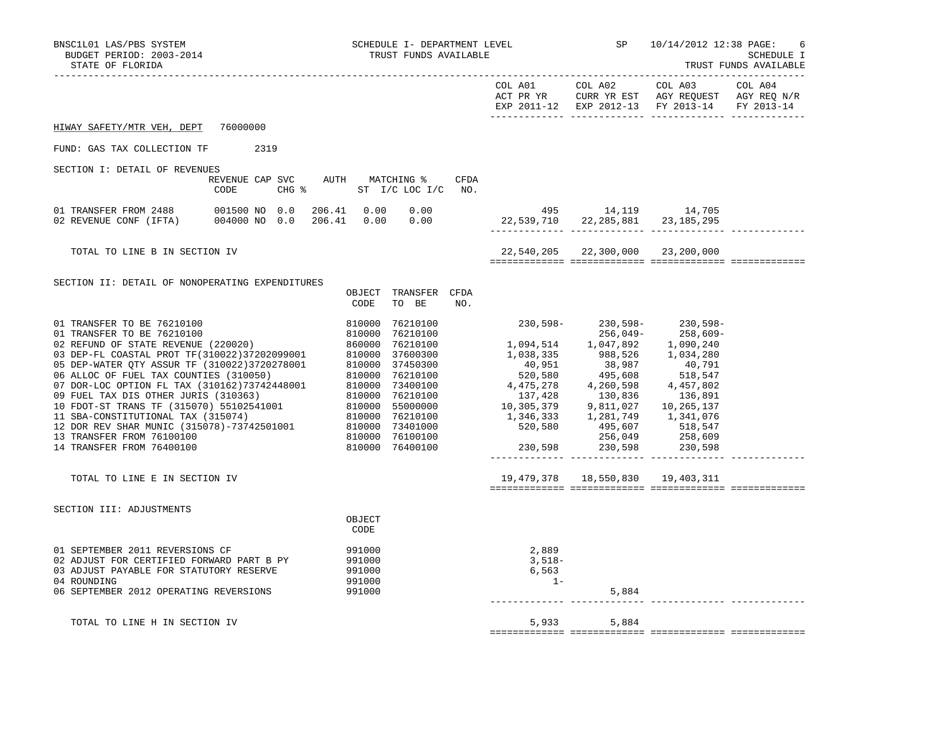| BNSC1L01 LAS/PBS SYSTEM<br>BUDGET PERIOD: 2003-2014<br>STATE OF FLORIDA                                                                                                                                                                                                                             |                                                                  |                                                | SCHEDULE I- DEPARTMENT LEVEL<br>TRUST FUNDS AVAILABLE |      |                                                                                                                                                                                                                                                                                                                                                                                                         | SP                                 | 10/14/2012 12:38 PAGE:<br>6<br>SCHEDULE I<br>TRUST FUNDS AVAILABLE                                                  |         |  |
|-----------------------------------------------------------------------------------------------------------------------------------------------------------------------------------------------------------------------------------------------------------------------------------------------------|------------------------------------------------------------------|------------------------------------------------|-------------------------------------------------------|------|---------------------------------------------------------------------------------------------------------------------------------------------------------------------------------------------------------------------------------------------------------------------------------------------------------------------------------------------------------------------------------------------------------|------------------------------------|---------------------------------------------------------------------------------------------------------------------|---------|--|
|                                                                                                                                                                                                                                                                                                     |                                                                  |                                                |                                                       |      |                                                                                                                                                                                                                                                                                                                                                                                                         | COL A01 COL A02 COL A03            | ACT PR YR $\,$ CURR YR EST $\,$ AGY REQUEST $\,$ AGY REQ $\rm N/R$<br>EXP 2011-12 EXP 2012-13 FY 2013-14 FY 2013-14 | COL A04 |  |
| HIWAY SAFETY/MTR VEH, DEPT 76000000                                                                                                                                                                                                                                                                 |                                                                  |                                                |                                                       |      |                                                                                                                                                                                                                                                                                                                                                                                                         |                                    |                                                                                                                     |         |  |
| FUND: GAS TAX COLLECTION TF                                                                                                                                                                                                                                                                         | 2319                                                             |                                                |                                                       |      |                                                                                                                                                                                                                                                                                                                                                                                                         |                                    |                                                                                                                     |         |  |
| SECTION I: DETAIL OF REVENUES                                                                                                                                                                                                                                                                       |                                                                  |                                                |                                                       |      |                                                                                                                                                                                                                                                                                                                                                                                                         |                                    |                                                                                                                     |         |  |
|                                                                                                                                                                                                                                                                                                     | REVENUE CAP SVC AUTH MATCHING %<br>CODE                          | CHG % ST I/C LOC I/C NO.                       |                                                       | CFDA |                                                                                                                                                                                                                                                                                                                                                                                                         |                                    |                                                                                                                     |         |  |
| 01 TRANSFER FROM 2488<br>02 REVENUE CONF (IFTA)                                                                                                                                                                                                                                                     | 001500 NO 0.0 206.41 0.00 0.00<br>004000 NO 0.0 206.41 0.00 0.00 |                                                |                                                       |      | 495 14,119 14,705<br>22,539,710 22,285,881 23,185,295                                                                                                                                                                                                                                                                                                                                                   |                                    |                                                                                                                     |         |  |
| TOTAL TO LINE B IN SECTION IV                                                                                                                                                                                                                                                                       |                                                                  |                                                |                                                       |      | 22,540,205 22,300,000 23,200,000                                                                                                                                                                                                                                                                                                                                                                        |                                    |                                                                                                                     |         |  |
| SECTION II: DETAIL OF NONOPERATING EXPENDITURES                                                                                                                                                                                                                                                     |                                                                  | CODE                                           | OBJECT TRANSFER CFDA<br>TO BE                         | NO.  |                                                                                                                                                                                                                                                                                                                                                                                                         |                                    |                                                                                                                     |         |  |
| 01 TRANSFER TO BE 76210100<br>01 TRANSFER TO BE 76210100<br>02 REFUND OF STATE REVENUE (220020)<br>03 DEP-FL COASTAL PROT TF (310022)37202099001<br>05 DEP-MTER QTY ASSUR TF (310022)37202099001<br>06 ALLOC OF FUEL TAX COUNTIES (310050)<br>06 ALLOC OF FUEL TAX COU<br>14 TRANSFER FROM 76400100 |                                                                  |                                                | 810000 76400100                                       |      | $\begin{array}{cccc} 810000 & 76210100 & & & & & 230\,598- & & 230\,599- & & 256\,049- & & 258\,609- & & \end{array}$<br>$\begin{array}{cccc} 256\,,049-&258\,,609-\\ 1\,,094\,,514&1\,,047\,,892&1\,,090\,,240\\ 1\,,038\,,335&988\,,526&1\,,034\,,280\\ 40\,,951&38\,,987&40\,,791\\ 520\,,580&495\,,608&518\,,618\,,819\,,\\ 4\,,475\,,278&4\,,260\,,598&4\,,457\,,802\\ 137\,,428&130\,,836&136\,,$ |                                    |                                                                                                                     |         |  |
| TOTAL TO LINE E IN SECTION IV                                                                                                                                                                                                                                                                       |                                                                  |                                                |                                                       |      |                                                                                                                                                                                                                                                                                                                                                                                                         | 19,479,378  18,550,830  19,403,311 |                                                                                                                     |         |  |
| SECTION III: ADJUSTMENTS                                                                                                                                                                                                                                                                            |                                                                  | OBJECT<br>CODE                                 |                                                       |      |                                                                                                                                                                                                                                                                                                                                                                                                         |                                    |                                                                                                                     |         |  |
| 01 SEPTEMBER 2011 REVERSIONS CF<br>02 ADJUST FOR CERTIFIED FORWARD PART B PY<br>03 ADJUST PAYABLE FOR STATUTORY RESERVE<br>04 ROUNDING<br>06 SEPTEMBER 2012 OPERATING REVERSIONS                                                                                                                    |                                                                  | 991000<br>991000<br>991000<br>991000<br>991000 |                                                       |      | 2,889<br>3,518–<br>6,563<br>$1-$                                                                                                                                                                                                                                                                                                                                                                        | 5,884                              |                                                                                                                     |         |  |
| TOTAL TO LINE H IN SECTION IV                                                                                                                                                                                                                                                                       |                                                                  |                                                |                                                       |      |                                                                                                                                                                                                                                                                                                                                                                                                         | 5,933 5,884                        |                                                                                                                     |         |  |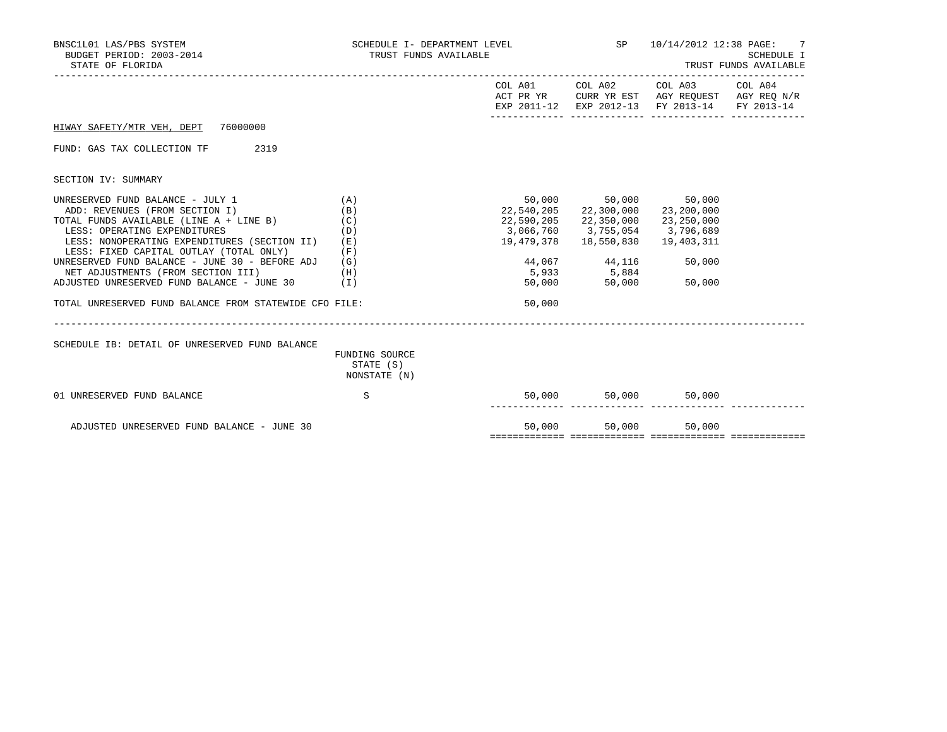| BNSC1L01 LAS/PBS SYSTEM<br>BUDGET PERIOD: 2003-2014<br>STATE OF FLORIDA                                                                                                                                                                                                                                                                                                                                                                  | SCHEDULE I- DEPARTMENT LEVEL<br>TRUST FUNDS AVAILABLE       |                  | SP 10/14/2012 12:38 PAGE: 7<br>SCHEDULE I<br>TRUST FUNDS AVAILABLE                                                                                                                                     |                                                                                                                                   |  |
|------------------------------------------------------------------------------------------------------------------------------------------------------------------------------------------------------------------------------------------------------------------------------------------------------------------------------------------------------------------------------------------------------------------------------------------|-------------------------------------------------------------|------------------|--------------------------------------------------------------------------------------------------------------------------------------------------------------------------------------------------------|-----------------------------------------------------------------------------------------------------------------------------------|--|
|                                                                                                                                                                                                                                                                                                                                                                                                                                          |                                                             |                  |                                                                                                                                                                                                        | COL A01 COL A02 COL A03 COL A04<br>ACT PR YR CURR YR EST AGY REQUEST AGY REQ N/R<br>EXP 2011-12 EXP 2012-13 FY 2013-14 FY 2013-14 |  |
| HIWAY SAFETY/MTR VEH, DEPT 76000000                                                                                                                                                                                                                                                                                                                                                                                                      |                                                             |                  |                                                                                                                                                                                                        |                                                                                                                                   |  |
| FUND: GAS TAX COLLECTION TF<br>2319                                                                                                                                                                                                                                                                                                                                                                                                      |                                                             |                  |                                                                                                                                                                                                        |                                                                                                                                   |  |
| SECTION IV: SUMMARY                                                                                                                                                                                                                                                                                                                                                                                                                      |                                                             |                  |                                                                                                                                                                                                        |                                                                                                                                   |  |
| UNRESERVED FUND BALANCE - JULY 1<br>ADD: REVENUES (FROM SECTION I)<br>TOTAL FUNDS AVAILABLE (LINE A + LINE B)<br>LESS: OPERATING EXPENDITURES<br>LESS: NONOPERATING EXPENDITURES (SECTION II)<br>LESS: FIXED CAPITAL OUTLAY (TOTAL ONLY)<br>UNRESERVED FUND BALANCE - JUNE 30 - BEFORE ADJ<br>NET ADJUSTMENTS (FROM SECTION III)<br>ADJUSTED UNRESERVED FUND BALANCE - JUNE 30<br>TOTAL UNRESERVED FUND BALANCE FROM STATEWIDE CFO FILE: | (A)<br>(B)<br>(C)<br>(D)<br>(E)<br>(F)<br>(G)<br>(H)<br>(I) | 50,000<br>50,000 | 50,000 50,000 50,000<br>22,540,205 22,300,000 23,200,000<br>22,590,205 22,350,000<br>3,066,760 3,755,054 3,796,689<br>19,479,378  18,550,830  19,403,311<br>44,067 44,116<br>$5,933$ $5,884$<br>50,000 | 23,250,000<br>50,000<br>50,000                                                                                                    |  |
| SCHEDULE IB: DETAIL OF UNRESERVED FUND BALANCE                                                                                                                                                                                                                                                                                                                                                                                           | FUNDING SOURCE<br>STATE (S)<br>NONSTATE (N)                 |                  |                                                                                                                                                                                                        |                                                                                                                                   |  |
| 01 UNRESERVED FUND BALANCE                                                                                                                                                                                                                                                                                                                                                                                                               | S                                                           | 50,000           | 50,000                                                                                                                                                                                                 | 50,000                                                                                                                            |  |
| ADJUSTED UNRESERVED FUND BALANCE - JUNE 30                                                                                                                                                                                                                                                                                                                                                                                               |                                                             | 50,000           | 50,000                                                                                                                                                                                                 | 50,000                                                                                                                            |  |

============= ============= ============= =============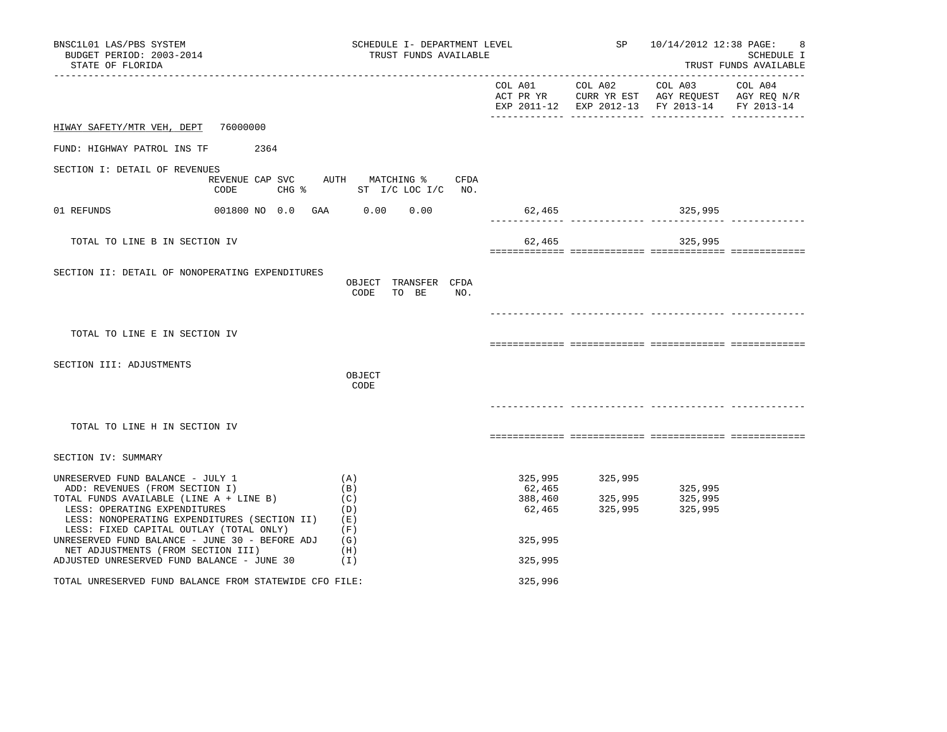| BNSC1L01 LAS/PBS SYSTEM<br>BUDGET PERIOD: 2003-2014<br>STATE OF FLORIDA                                                                                                                                                                                                                    | SCHEDULE I- DEPARTMENT LEVEL<br>TRUST FUNDS AVAILABLE      |                                                   |                               | SP 10/14/2012 12:38 PAGE:                                                                                         | 8<br>SCHEDULE I<br>TRUST FUNDS AVAILABLE |
|--------------------------------------------------------------------------------------------------------------------------------------------------------------------------------------------------------------------------------------------------------------------------------------------|------------------------------------------------------------|---------------------------------------------------|-------------------------------|-------------------------------------------------------------------------------------------------------------------|------------------------------------------|
|                                                                                                                                                                                                                                                                                            |                                                            | COL A01 COL A02                                   |                               | COL A03 COL A04<br>ACT PR YR CURR YR EST AGY REQUEST AGY REQ N/R<br>EXP 2011-12 EXP 2012-13 FY 2013-14 FY 2013-14 |                                          |
| HIWAY SAFETY/MTR VEH, DEPT<br>76000000                                                                                                                                                                                                                                                     |                                                            |                                                   |                               |                                                                                                                   |                                          |
| FUND: HIGHWAY PATROL INS TF<br>2364                                                                                                                                                                                                                                                        |                                                            |                                                   |                               |                                                                                                                   |                                          |
| SECTION I: DETAIL OF REVENUES<br>CODE<br>CHG %                                                                                                                                                                                                                                             | REVENUE CAP SVC AUTH MATCHING % CFDA<br>ST I/C LOC I/C NO. |                                                   |                               |                                                                                                                   |                                          |
| 01 REFUNDS<br>001800 NO 0.0 GAA 0.00                                                                                                                                                                                                                                                       | 0.00                                                       | 62,465                                            |                               | 325,995                                                                                                           |                                          |
| TOTAL TO LINE B IN SECTION IV                                                                                                                                                                                                                                                              |                                                            | 62,465                                            |                               | 325,995                                                                                                           |                                          |
| SECTION II: DETAIL OF NONOPERATING EXPENDITURES                                                                                                                                                                                                                                            | OBJECT TRANSFER CFDA<br>CODE<br>TO BE<br>NO.               |                                                   |                               |                                                                                                                   |                                          |
| TOTAL TO LINE E IN SECTION IV                                                                                                                                                                                                                                                              |                                                            |                                                   |                               |                                                                                                                   |                                          |
|                                                                                                                                                                                                                                                                                            |                                                            |                                                   |                               |                                                                                                                   |                                          |
| SECTION III: ADJUSTMENTS                                                                                                                                                                                                                                                                   | OBJECT<br>CODE                                             |                                                   |                               |                                                                                                                   |                                          |
|                                                                                                                                                                                                                                                                                            |                                                            |                                                   |                               |                                                                                                                   |                                          |
| TOTAL TO LINE H IN SECTION IV                                                                                                                                                                                                                                                              |                                                            |                                                   |                               |                                                                                                                   |                                          |
| SECTION IV: SUMMARY                                                                                                                                                                                                                                                                        |                                                            |                                                   |                               |                                                                                                                   |                                          |
| UNRESERVED FUND BALANCE - JULY 1<br>ADD: REVENUES (FROM SECTION I)<br>TOTAL FUNDS AVAILABLE (LINE A + LINE B)<br>LESS: OPERATING EXPENDITURES<br>LESS: NONOPERATING EXPENDITURES (SECTION II)<br>LESS: FIXED CAPITAL OUTLAY (TOTAL ONLY)<br>UNRESERVED FUND BALANCE - JUNE 30 - BEFORE ADJ | (A)<br>(B)<br>(C)<br>(D)<br>(E)<br>(F)<br>(G)              | 325,995<br>62,465<br>388,460<br>62,465<br>325,995 | 325,995<br>325,995<br>325,995 | 325,995<br>325,995<br>325,995                                                                                     |                                          |
| NET ADJUSTMENTS (FROM SECTION III)<br>ADJUSTED UNRESERVED FUND BALANCE - JUNE 30                                                                                                                                                                                                           | (H)<br>(I)                                                 | 325,995                                           |                               |                                                                                                                   |                                          |
| TOTAL UNRESERVED FUND BALANCE FROM STATEWIDE CFO FILE:                                                                                                                                                                                                                                     |                                                            | 325,996                                           |                               |                                                                                                                   |                                          |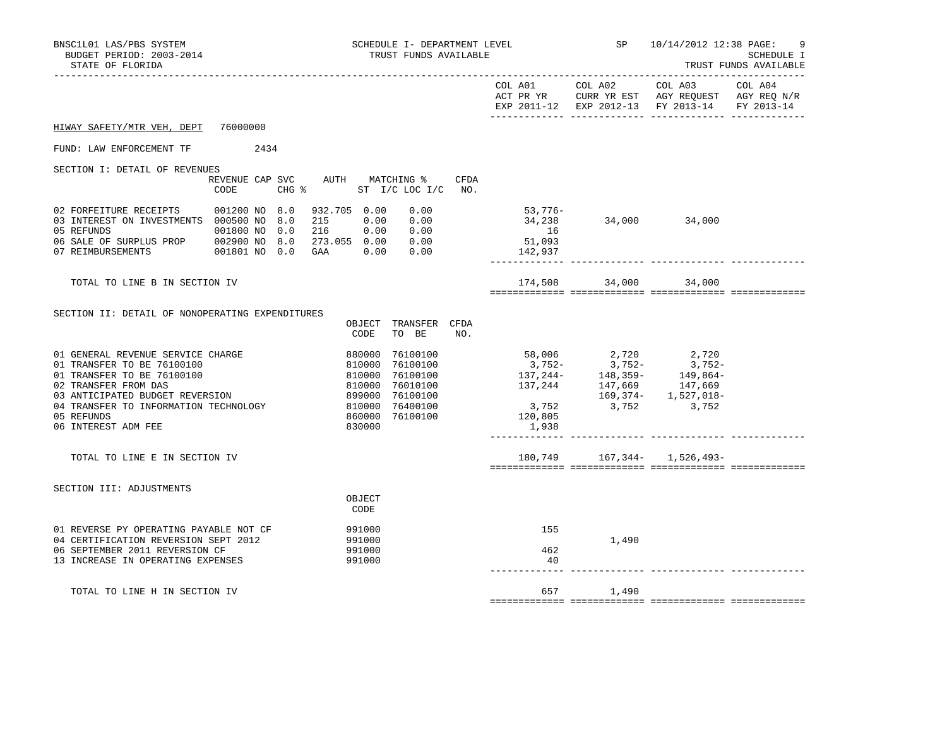| BNSC1L01 LAS/PBS SYSTEM<br>BUDGET PERIOD: 2003-2014<br>STATE OF FLORIDA                                                                                                                                                                |                                                | SCHEDULE I- DEPARTMENT LEVEL<br>TRUST FUNDS AVAILABLE                                                                                       |                                                                                                                                                                                    | SP              | 10/14/2012 12:38 PAGE:<br>9<br>SCHEDULE I<br>TRUST FUNDS AVAILABLE<br>--------------           |                       |  |
|----------------------------------------------------------------------------------------------------------------------------------------------------------------------------------------------------------------------------------------|------------------------------------------------|---------------------------------------------------------------------------------------------------------------------------------------------|------------------------------------------------------------------------------------------------------------------------------------------------------------------------------------|-----------------|------------------------------------------------------------------------------------------------|-----------------------|--|
|                                                                                                                                                                                                                                        |                                                |                                                                                                                                             |                                                                                                                                                                                    | COL A01 COL A02 | COL A03<br>ACT PR YR CURR YR EST AGY REQUEST AGY REQ N/R<br>EXP 2011-12 EXP 2012-13 FY 2013-14 | COL A04<br>FY 2013-14 |  |
| HIWAY SAFETY/MTR VEH, DEPT 76000000                                                                                                                                                                                                    |                                                |                                                                                                                                             |                                                                                                                                                                                    |                 |                                                                                                |                       |  |
| FUND: LAW ENFORCEMENT TF 2434                                                                                                                                                                                                          |                                                |                                                                                                                                             |                                                                                                                                                                                    |                 |                                                                                                |                       |  |
| SECTION I: DETAIL OF REVENUES                                                                                                                                                                                                          | REVENUE CAP SVC AUTH MATCHING %<br>CODE        | CFDA<br>CHG % ST I/C LOC I/C NO.                                                                                                            |                                                                                                                                                                                    |                 |                                                                                                |                       |  |
| 02 FORFEITURE RECEIPTS 001200 NO 8.0<br>03 INTEREST ON INVESTMENTS 000500 NO 8.0<br>05 REFUNDS<br>06 SALE OF SURPLUS PROP 002900 NO 8.0 273.055 0.00 0.00<br>07 REIMBURSEMENTS                                                         | 001800 NO 0.0<br>216<br>001801 NO 0.0 GAA 0.00 | 932.705 0.00<br>0.00<br>215 0.00<br>0.00<br>0.00 0.00<br>0.00                                                                               | 53,776-<br>34,238<br>16<br>51,093<br>142,937                                                                                                                                       | 34,000 34,000   |                                                                                                |                       |  |
| TOTAL TO LINE B IN SECTION IV                                                                                                                                                                                                          |                                                |                                                                                                                                             |                                                                                                                                                                                    | 174,508 34,000  | 34,000                                                                                         |                       |  |
| SECTION II: DETAIL OF NONOPERATING EXPENDITURES                                                                                                                                                                                        |                                                | OBJECT TRANSFER CFDA<br>CODE<br>TO BE<br>NO.                                                                                                |                                                                                                                                                                                    |                 |                                                                                                |                       |  |
| 01 GENERAL REVENUE SERVICE CHARGE<br>01 TRANSFER TO BE 76100100<br>01 TRANSFER TO BE 76100100<br>02 TRANSFER FROM DAS<br>03 ANTICIPATED BUDGET REVERSION<br>04 TRANSFER TO INFORMATION TECHNOLOGY<br>05 REFUNDS<br>06 INTEREST ADM FEE |                                                | 880000 76100100<br>810000 76100100<br>810000 76100100<br>899000 76010100<br>899000 76100100<br>810000 76400100<br>860000 76100100<br>830000 | $\begin{array}{cccc} 58,006 & 2,720 & 2,720 \\ 3,752- & 3,752- & 3,752- \\ 137,244- & 148,359- & 149,864- \\ 137,244 & 147,669 & 157,669 \end{array}$<br>3,752<br>120,805<br>1,938 |                 | 169,374- 1,527,018-<br>3,752 3,752                                                             |                       |  |
| TOTAL TO LINE E IN SECTION IV                                                                                                                                                                                                          |                                                |                                                                                                                                             |                                                                                                                                                                                    |                 | 180,749 167,344- 1,526,493-                                                                    |                       |  |
| SECTION III: ADJUSTMENTS                                                                                                                                                                                                               |                                                | OBJECT<br>CODE                                                                                                                              |                                                                                                                                                                                    |                 |                                                                                                |                       |  |
| 01 REVERSE PY OPERATING PAYABLE NOT CF<br>04 CERTIFICATION REVERSION SEPT 2012<br>06 SEPTEMBER 2011 REVERSION CF<br>13 INCREASE IN OPERATING EXPENSES                                                                                  |                                                | 991000<br>991000<br>991000<br>991000                                                                                                        | 155<br>462<br>40                                                                                                                                                                   | 1,490           |                                                                                                |                       |  |
| TOTAL TO LINE H IN SECTION IV                                                                                                                                                                                                          |                                                |                                                                                                                                             |                                                                                                                                                                                    | 657 1,490       |                                                                                                |                       |  |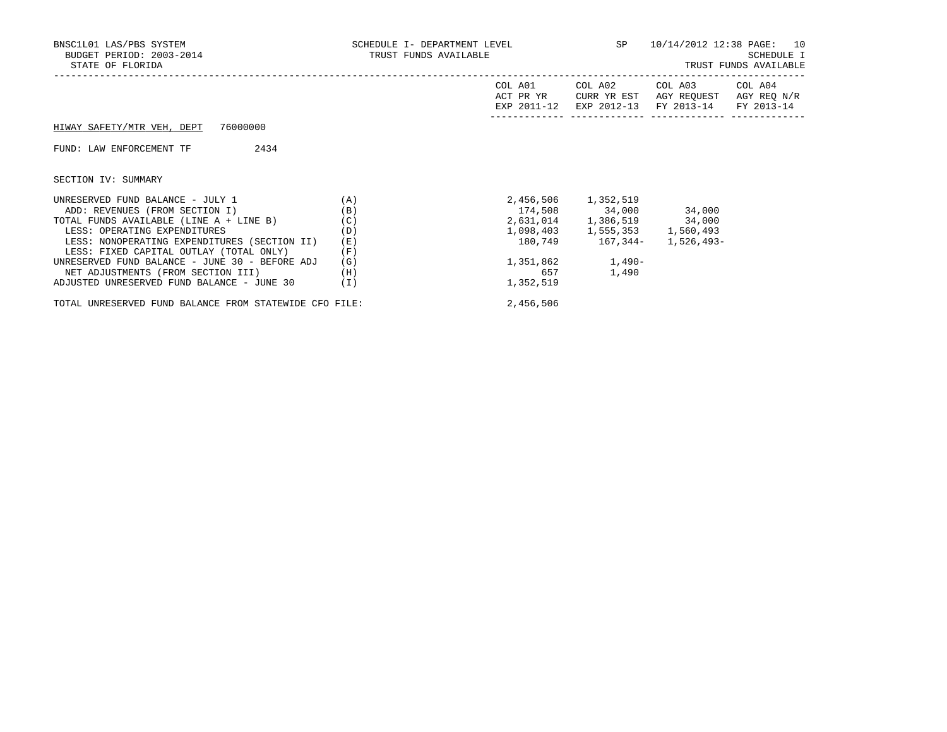| BNSC1L01 LAS/PBS SYSTEM<br>BUDGET PERIOD: 2003-2014<br>STATE OF FLORIDA                                                                                                                                                                                                                                                                                                        | SCHEDULE I- DEPARTMENT LEVEL<br>TRUST FUNDS AVAILABLE       |                                     |                                                                                                                                          | SP 10/14/2012 12:38 PAGE: 10<br>SCHEDULE I<br>TRUST FUNDS AVAILABLE |  |  |
|--------------------------------------------------------------------------------------------------------------------------------------------------------------------------------------------------------------------------------------------------------------------------------------------------------------------------------------------------------------------------------|-------------------------------------------------------------|-------------------------------------|------------------------------------------------------------------------------------------------------------------------------------------|---------------------------------------------------------------------|--|--|
|                                                                                                                                                                                                                                                                                                                                                                                |                                                             | COL A01<br>ACT PR YR<br>EXP 2011-12 | COL A02<br>CURR YR EST<br>EXP 2012-13                                                                                                    | COL A03 COL A04<br>AGY REOUEST AGY REO N/R<br>FY 2013-14 FY 2013-14 |  |  |
| HIWAY SAFETY/MTR VEH, DEPT 76000000                                                                                                                                                                                                                                                                                                                                            |                                                             |                                     |                                                                                                                                          |                                                                     |  |  |
| 2434<br>FUND: LAW ENFORCEMENT TF                                                                                                                                                                                                                                                                                                                                               |                                                             |                                     |                                                                                                                                          |                                                                     |  |  |
| SECTION IV: SUMMARY                                                                                                                                                                                                                                                                                                                                                            |                                                             |                                     |                                                                                                                                          |                                                                     |  |  |
| UNRESERVED FUND BALANCE - JULY 1<br>ADD: REVENUES (FROM SECTION I)<br>TOTAL FUNDS AVAILABLE (LINE A + LINE B)<br>LESS: OPERATING EXPENDITURES<br>LESS: NONOPERATING EXPENDITURES (SECTION II)<br>LESS: FIXED CAPITAL OUTLAY (TOTAL ONLY)<br>UNRESERVED FUND BALANCE - JUNE 30 - BEFORE ADJ<br>NET ADJUSTMENTS (FROM SECTION III)<br>ADJUSTED UNRESERVED FUND BALANCE - JUNE 30 | (A)<br>(B)<br>(C)<br>(D)<br>(E)<br>(F)<br>(G)<br>(H)<br>(I) | 657<br>1,352,519                    | 2,456,506 1,352,519<br>174,508 34,000 34,000<br>2,631,014 1,386,519 34,000<br>1,098,403 1,555,353 1,560,493<br>1,351,862 1,490-<br>1,490 |                                                                     |  |  |

TOTAL UNRESERVED FUND BALANCE FROM STATEWIDE CFO FILE: 2,456,506

| SCHEDULE I- DEPARTMENT LEVEI |  |                       |  |
|------------------------------|--|-----------------------|--|
|                              |  | TRUST FUNDS AVAILABLE |  |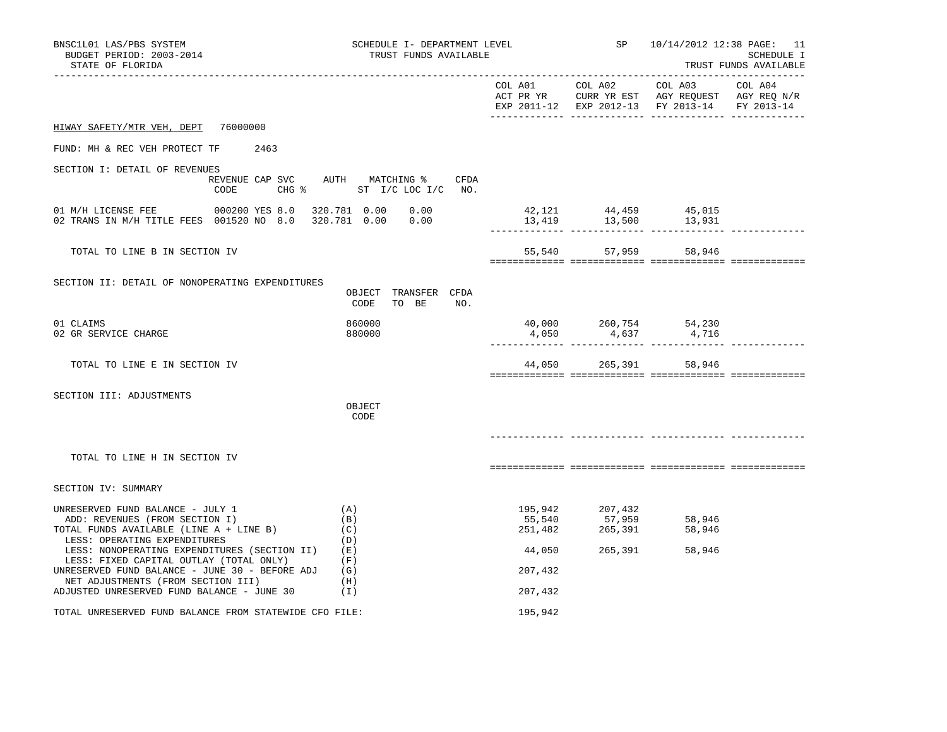| BNSC1L01 LAS/PBS SYSTEM<br>BUDGET PERIOD: 2003-2014<br>STATE OF FLORIDA                                                                                                                                                                  | SCHEDULE I- DEPARTMENT LEVEL<br>TRUST FUNDS AVAILABLE |                                        |                                         | SP 10/14/2012 12:38 PAGE: 11<br>SCHEDULE I<br>TRUST FUNDS AVAILABLE                                       |         |  |
|------------------------------------------------------------------------------------------------------------------------------------------------------------------------------------------------------------------------------------------|-------------------------------------------------------|----------------------------------------|-----------------------------------------|-----------------------------------------------------------------------------------------------------------|---------|--|
|                                                                                                                                                                                                                                          |                                                       |                                        | COL A01 COL A02                         | COL A03<br>ACT PR YR CURR YR EST AGY REQUEST AGY REQ N/R<br>EXP 2011-12 EXP 2012-13 FY 2013-14 FY 2013-14 | COL A04 |  |
| 76000000<br>HIWAY SAFETY/MTR VEH, DEPT                                                                                                                                                                                                   |                                                       |                                        |                                         |                                                                                                           |         |  |
| FUND: MH & REC VEH PROTECT TF<br>2463                                                                                                                                                                                                    |                                                       |                                        |                                         |                                                                                                           |         |  |
| SECTION I: DETAIL OF REVENUES<br>REVENUE CAP SVC<br>CODE                                                                                                                                                                                 | AUTH MATCHING %<br>CFDA<br>CHG % ST I/C LOC I/C NO.   |                                        |                                         |                                                                                                           |         |  |
| 01 M/H LICENSE FEE 000200 YES 8.0<br>02 TRANS IN M/H TITLE FEES 001520 NO 8.0                                                                                                                                                            | 320.781 0.00<br>0.00<br>0.00<br>320.781 0.00          | 13,419                                 | 42, 121 44, 459 45, 015<br>13,500       | 13,931                                                                                                    |         |  |
| TOTAL TO LINE B IN SECTION IV                                                                                                                                                                                                            |                                                       | 55,540                                 | 57,959                                  | 58,946                                                                                                    |         |  |
| SECTION II: DETAIL OF NONOPERATING EXPENDITURES                                                                                                                                                                                          | OBJECT TRANSFER CFDA<br>CODE<br>TO BE<br>NO.          |                                        |                                         |                                                                                                           |         |  |
| 01 CLAIMS<br>02 GR SERVICE CHARGE                                                                                                                                                                                                        | 860000<br>880000                                      | 40,000<br>4,050                        | 260,754<br>4,637                        | 54,230<br>4,716                                                                                           |         |  |
| TOTAL TO LINE E IN SECTION IV                                                                                                                                                                                                            |                                                       |                                        | 44,050 265,391 58,946                   |                                                                                                           |         |  |
| SECTION III: ADJUSTMENTS                                                                                                                                                                                                                 | OBJECT<br>CODE                                        |                                        |                                         |                                                                                                           |         |  |
| TOTAL TO LINE H IN SECTION IV                                                                                                                                                                                                            |                                                       |                                        |                                         |                                                                                                           |         |  |
| SECTION IV: SUMMARY                                                                                                                                                                                                                      |                                                       |                                        |                                         |                                                                                                           |         |  |
| UNRESERVED FUND BALANCE - JULY 1<br>ADD: REVENUES (FROM SECTION I)<br>TOTAL FUNDS AVAILABLE (LINE A + LINE B)<br>LESS: OPERATING EXPENDITURES<br>LESS: NONOPERATING EXPENDITURES (SECTION II)<br>LESS: FIXED CAPITAL OUTLAY (TOTAL ONLY) | (A)<br>(B)<br>(C)<br>(D)<br>(E)<br>(F)                | 195,942<br>55,540<br>251,482<br>44,050 | 207,432<br>57,959<br>265,391<br>265,391 | 58,946<br>58,946<br>58,946                                                                                |         |  |
| UNRESERVED FUND BALANCE - JUNE 30 - BEFORE ADJ<br>NET ADJUSTMENTS (FROM SECTION III)                                                                                                                                                     | (G)<br>(H)                                            | 207,432                                |                                         |                                                                                                           |         |  |
| ADJUSTED UNRESERVED FUND BALANCE - JUNE 30                                                                                                                                                                                               | ( I )                                                 | 207,432                                |                                         |                                                                                                           |         |  |
| TOTAL UNRESERVED FUND BALANCE FROM STATEWIDE CFO FILE:                                                                                                                                                                                   |                                                       | 195,942                                |                                         |                                                                                                           |         |  |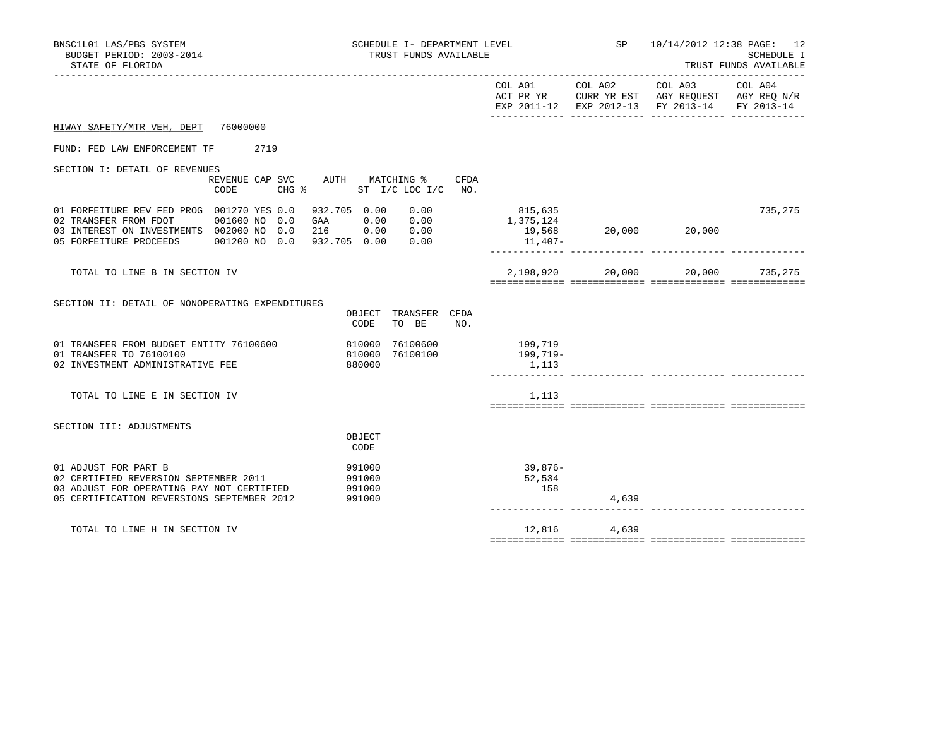| BNSC1L01 LAS/PBS SYSTEM<br>SCHEDULE I- DEPARTMENT LEVEL<br>BUDGET PERIOD: 2003-2014<br>TRUST FUNDS AVAILABLE<br>STATE OF FLORIDA                                                     |                                                                     |                                           | SP 10/14/2012 12:38 PAGE: 12<br>--------------------------------<br>--------------------- |                                                                                                                   | SCHEDULE I<br>TRUST FUNDS AVAILABLE |  |
|--------------------------------------------------------------------------------------------------------------------------------------------------------------------------------------|---------------------------------------------------------------------|-------------------------------------------|-------------------------------------------------------------------------------------------|-------------------------------------------------------------------------------------------------------------------|-------------------------------------|--|
|                                                                                                                                                                                      |                                                                     | COL A01 COL A02                           |                                                                                           | COL A03 COL A04<br>ACT PR YR CURR YR EST AGY REQUEST AGY REQ N/R<br>EXP 2011-12 EXP 2012-13 FY 2013-14 FY 2013-14 |                                     |  |
| HIWAY SAFETY/MTR VEH, DEPT 76000000                                                                                                                                                  |                                                                     |                                           |                                                                                           |                                                                                                                   |                                     |  |
| 2719<br>FUND: FED LAW ENFORCEMENT TF                                                                                                                                                 |                                                                     |                                           |                                                                                           |                                                                                                                   |                                     |  |
| SECTION I: DETAIL OF REVENUES<br>CODE                                                                                                                                                | REVENUE CAP SVC AUTH MATCHING %<br>CFDA<br>CHG % ST I/C LOC I/C NO. |                                           |                                                                                           |                                                                                                                   |                                     |  |
| 01 FORFEITURE REV FED PROG 001270 YES 0.0<br>001600 NO 0.0<br>02 TRANSFER FROM FDOT<br>03 INTEREST ON INVESTMENTS 002000 NO 0.0<br>05 FORFEITURE PROCEEDS 001200 NO 0.0 932.705 0.00 | 932.705 0.00<br>0.00<br>GAA 0.00 0.00<br>216  0.00  0.00<br>0.00    | 815,635<br>1,375,124<br>19,568<br>11,407- |                                                                                           | 20,000 20,000                                                                                                     | 735,275                             |  |
| TOTAL TO LINE B IN SECTION IV                                                                                                                                                        |                                                                     | 2,198,920                                 | 20,000                                                                                    | 20,000                                                                                                            | 735,275                             |  |
| SECTION II: DETAIL OF NONOPERATING EXPENDITURES                                                                                                                                      | OBJECT TRANSFER CFDA<br>TO BE<br>CODE<br>NO.                        |                                           |                                                                                           |                                                                                                                   |                                     |  |
| 01 TRANSFER FROM BUDGET ENTITY 76100600<br>01 TRANSFER TO 76100100<br>02 INVESTMENT ADMINISTRATIVE FEE                                                                               | 76100600<br>810000<br>76100100<br>810000<br>880000                  | 199,719<br>199,719-<br>1,113              |                                                                                           |                                                                                                                   |                                     |  |
| TOTAL TO LINE E IN SECTION IV                                                                                                                                                        |                                                                     | 1,113                                     |                                                                                           |                                                                                                                   |                                     |  |
| SECTION III: ADJUSTMENTS                                                                                                                                                             | OBJECT<br>CODE                                                      |                                           |                                                                                           |                                                                                                                   |                                     |  |
| 01 ADJUST FOR PART B<br>02 CERTIFIED REVERSION SEPTEMBER 2011<br>03 ADJUST FOR OPERATING PAY NOT CERTIFIED<br>05 CERTIFICATION REVERSIONS SEPTEMBER 2012                             | 991000<br>991000<br>991000<br>991000                                | 39,876-<br>52,534<br>158                  | 4,639                                                                                     |                                                                                                                   |                                     |  |
|                                                                                                                                                                                      |                                                                     |                                           |                                                                                           |                                                                                                                   |                                     |  |